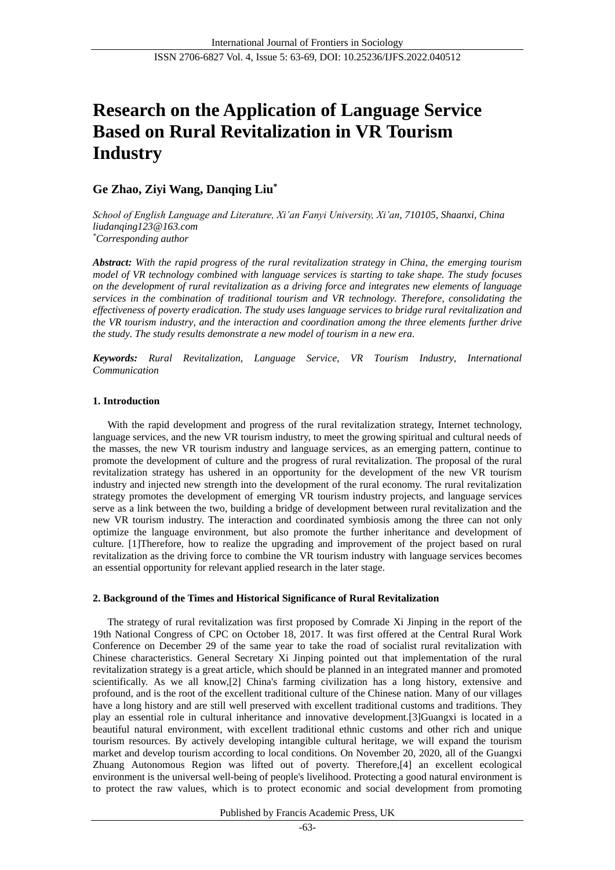# **Research on the Application of Language Service Based on Rural Revitalization in VR Tourism Industry**

# **Ge Zhao, Ziyi Wang, Danqing Liu\***

*School of English Language and Literature, Xi'an Fanyi University, Xi'an, 710105, Shaanxi, China liudanqing123@163.com \*Corresponding author*

*Abstract: With the rapid progress of the rural revitalization strategy in China, the emerging tourism model of VR technology combined with language services is starting to take shape. The study focuses on the development of rural revitalization as a driving force and integrates new elements of language services in the combination of traditional tourism and VR technology. Therefore, consolidating the effectiveness of poverty eradication. The study uses language services to bridge rural revitalization and the VR tourism industry, and the interaction and coordination among the three elements further drive the study. The study results demonstrate a new model of tourism in a new era.*

*Keywords: Rural Revitalization, Language Service, VR Tourism Industry, International Communication*

## **1. Introduction**

With the rapid development and progress of the rural revitalization strategy, Internet technology, language services, and the new VR tourism industry, to meet the growing spiritual and cultural needs of the masses, the new VR tourism industry and language services, as an emerging pattern, continue to promote the development of culture and the progress of rural revitalization. The proposal of the rural revitalization strategy has ushered in an opportunity for the development of the new VR tourism industry and injected new strength into the development of the rural economy. The rural revitalization strategy promotes the development of emerging VR tourism industry projects, and language services serve as a link between the two, building a bridge of development between rural revitalization and the new VR tourism industry. The interaction and coordinated symbiosis among the three can not only optimize the language environment, but also promote the further inheritance and development of culture. [1]Therefore, how to realize the upgrading and improvement of the project based on rural revitalization as the driving force to combine the VR tourism industry with language services becomes an essential opportunity for relevant applied research in the later stage.

## **2. Background of the Times and Historical Significance of Rural Revitalization**

The strategy of rural revitalization was first proposed by Comrade Xi Jinping in the report of the 19th National Congress of CPC on October 18, 2017. It was first offered at the Central Rural Work Conference on December 29 of the same year to take the road of socialist rural revitalization with Chinese characteristics. General Secretary Xi Jinping pointed out that implementation of the rural revitalization strategy is a great article, which should be planned in an integrated manner and promoted scientifically. As we all know,[2] China's farming civilization has a long history, extensive and profound, and is the root of the excellent traditional culture of the Chinese nation. Many of our villages have a long history and are still well preserved with excellent traditional customs and traditions. They play an essential role in cultural inheritance and innovative development.[3]Guangxi is located in a beautiful natural environment, with excellent traditional ethnic customs and other rich and unique tourism resources. By actively developing intangible cultural heritage, we will expand the tourism market and develop tourism according to local conditions. On November 20, 2020, all of the Guangxi Zhuang Autonomous Region was lifted out of poverty. Therefore,[4] an excellent ecological environment is the universal well-being of people's livelihood. Protecting a good natural environment is to protect the raw values, which is to protect economic and social development from promoting

Published by Francis Academic Press, UK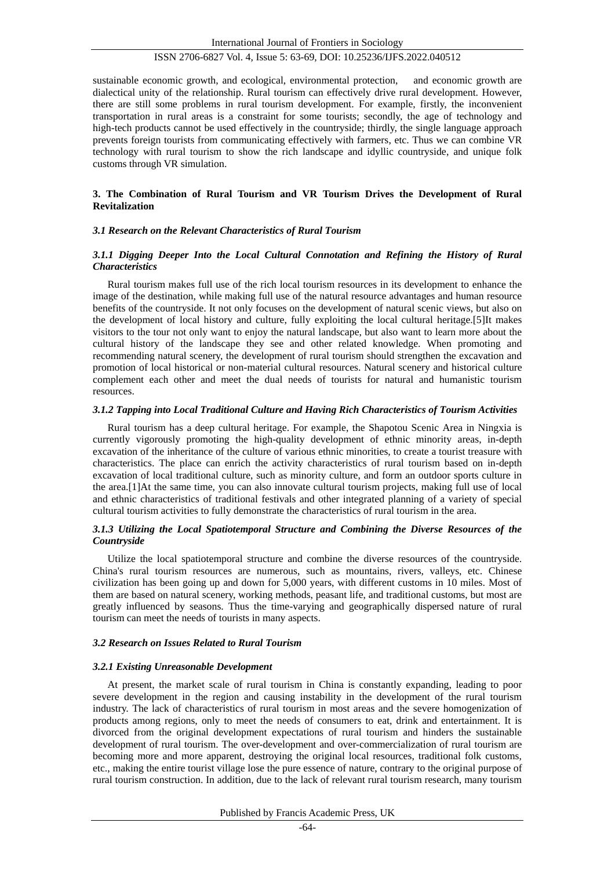sustainable economic growth, and ecological, environmental protection, and economic growth are dialectical unity of the relationship. Rural tourism can effectively drive rural development. However, there are still some problems in rural tourism development. For example, firstly, the inconvenient transportation in rural areas is a constraint for some tourists; secondly, the age of technology and high-tech products cannot be used effectively in the countryside; thirdly, the single language approach prevents foreign tourists from communicating effectively with farmers, etc. Thus we can combine VR technology with rural tourism to show the rich landscape and idyllic countryside, and unique folk customs through VR simulation.

### **3. The Combination of Rural Tourism and VR Tourism Drives the Development of Rural Revitalization**

### *3.1 Research on the Relevant Characteristics of Rural Tourism*

## *3.1.1 Digging Deeper Into the Local Cultural Connotation and Refining the History of Rural Characteristics*

Rural tourism makes full use of the rich local tourism resources in its development to enhance the image of the destination, while making full use of the natural resource advantages and human resource benefits of the countryside. It not only focuses on the development of natural scenic views, but also on the development of local history and culture, fully exploiting the local cultural heritage.[5]It makes visitors to the tour not only want to enjoy the natural landscape, but also want to learn more about the cultural history of the landscape they see and other related knowledge. When promoting and recommending natural scenery, the development of rural tourism should strengthen the excavation and promotion of local historical or non-material cultural resources. Natural scenery and historical culture complement each other and meet the dual needs of tourists for natural and humanistic tourism resources.

## *3.1.2 Tapping into Local Traditional Culture and Having Rich Characteristics of Tourism Activities*

Rural tourism has a deep cultural heritage. For example, the Shapotou Scenic Area in Ningxia is currently vigorously promoting the high-quality development of ethnic minority areas, in-depth excavation of the inheritance of the culture of various ethnic minorities, to create a tourist treasure with characteristics. The place can enrich the activity characteristics of rural tourism based on in-depth excavation of local traditional culture, such as minority culture, and form an outdoor sports culture in the area.[1]At the same time, you can also innovate cultural tourism projects, making full use of local and ethnic characteristics of traditional festivals and other integrated planning of a variety of special cultural tourism activities to fully demonstrate the characteristics of rural tourism in the area.

## *3.1.3 Utilizing the Local Spatiotemporal Structure and Combining the Diverse Resources of the Countryside*

Utilize the local spatiotemporal structure and combine the diverse resources of the countryside. China's rural tourism resources are numerous, such as mountains, rivers, valleys, etc. Chinese civilization has been going up and down for 5,000 years, with different customs in 10 miles. Most of them are based on natural scenery, working methods, peasant life, and traditional customs, but most are greatly influenced by seasons. Thus the time-varying and geographically dispersed nature of rural tourism can meet the needs of tourists in many aspects.

#### *3.2 Research on Issues Related to Rural Tourism*

#### *3.2.1 Existing Unreasonable Development*

At present, the market scale of rural tourism in China is constantly expanding, leading to poor severe development in the region and causing instability in the development of the rural tourism industry. The lack of characteristics of rural tourism in most areas and the severe homogenization of products among regions, only to meet the needs of consumers to eat, drink and entertainment. It is divorced from the original development expectations of rural tourism and hinders the sustainable development of rural tourism. The over-development and over-commercialization of rural tourism are becoming more and more apparent, destroying the original local resources, traditional folk customs, etc., making the entire tourist village lose the pure essence of nature, contrary to the original purpose of rural tourism construction. In addition, due to the lack of relevant rural tourism research, many tourism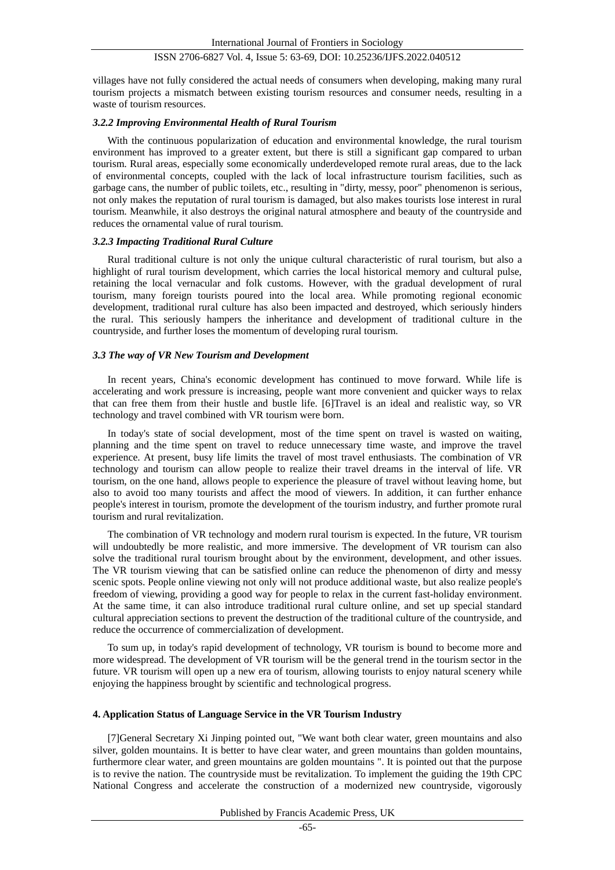villages have not fully considered the actual needs of consumers when developing, making many rural tourism projects a mismatch between existing tourism resources and consumer needs, resulting in a waste of tourism resources.

## *3.2.2 Improving Environmental Health of Rural Tourism*

With the continuous popularization of education and environmental knowledge, the rural tourism environment has improved to a greater extent, but there is still a significant gap compared to urban tourism. Rural areas, especially some economically underdeveloped remote rural areas, due to the lack of environmental concepts, coupled with the lack of local infrastructure tourism facilities, such as garbage cans, the number of public toilets, etc., resulting in "dirty, messy, poor" phenomenon is serious, not only makes the reputation of rural tourism is damaged, but also makes tourists lose interest in rural tourism. Meanwhile, it also destroys the original natural atmosphere and beauty of the countryside and reduces the ornamental value of rural tourism.

## *3.2.3 Impacting Traditional Rural Culture*

Rural traditional culture is not only the unique cultural characteristic of rural tourism, but also a highlight of rural tourism development, which carries the local historical memory and cultural pulse, retaining the local vernacular and folk customs. However, with the gradual development of rural tourism, many foreign tourists poured into the local area. While promoting regional economic development, traditional rural culture has also been impacted and destroyed, which seriously hinders the rural. This seriously hampers the inheritance and development of traditional culture in the countryside, and further loses the momentum of developing rural tourism.

## *3.3 The way of VR New Tourism and Development*

In recent years, China's economic development has continued to move forward. While life is accelerating and work pressure is increasing, people want more convenient and quicker ways to relax that can free them from their hustle and bustle life. [6]Travel is an ideal and realistic way, so VR technology and travel combined with VR tourism were born.

In today's state of social development, most of the time spent on travel is wasted on waiting, planning and the time spent on travel to reduce unnecessary time waste, and improve the travel experience. At present, busy life limits the travel of most travel enthusiasts. The combination of VR technology and tourism can allow people to realize their travel dreams in the interval of life. VR tourism, on the one hand, allows people to experience the pleasure of travel without leaving home, but also to avoid too many tourists and affect the mood of viewers. In addition, it can further enhance people's interest in tourism, promote the development of the tourism industry, and further promote rural tourism and rural revitalization.

The combination of VR technology and modern rural tourism is expected. In the future, VR tourism will undoubtedly be more realistic, and more immersive. The development of VR tourism can also solve the traditional rural tourism brought about by the environment, development, and other issues. The VR tourism viewing that can be satisfied online can reduce the phenomenon of dirty and messy scenic spots. People online viewing not only will not produce additional waste, but also realize people's freedom of viewing, providing a good way for people to relax in the current fast-holiday environment. At the same time, it can also introduce traditional rural culture online, and set up special standard cultural appreciation sections to prevent the destruction of the traditional culture of the countryside, and reduce the occurrence of commercialization of development.

To sum up, in today's rapid development of technology, VR tourism is bound to become more and more widespread. The development of VR tourism will be the general trend in the tourism sector in the future. VR tourism will open up a new era of tourism, allowing tourists to enjoy natural scenery while enjoying the happiness brought by scientific and technological progress.

#### **4. Application Status of Language Service in the VR Tourism Industry**

[7]General Secretary Xi Jinping pointed out, "We want both clear water, green mountains and also silver, golden mountains. It is better to have clear water, and green mountains than golden mountains, furthermore clear water, and green mountains are golden mountains ". It is pointed out that the purpose is to revive the nation. The countryside must be revitalization. To implement the guiding the 19th CPC National Congress and accelerate the construction of a modernized new countryside, vigorously

Published by Francis Academic Press, UK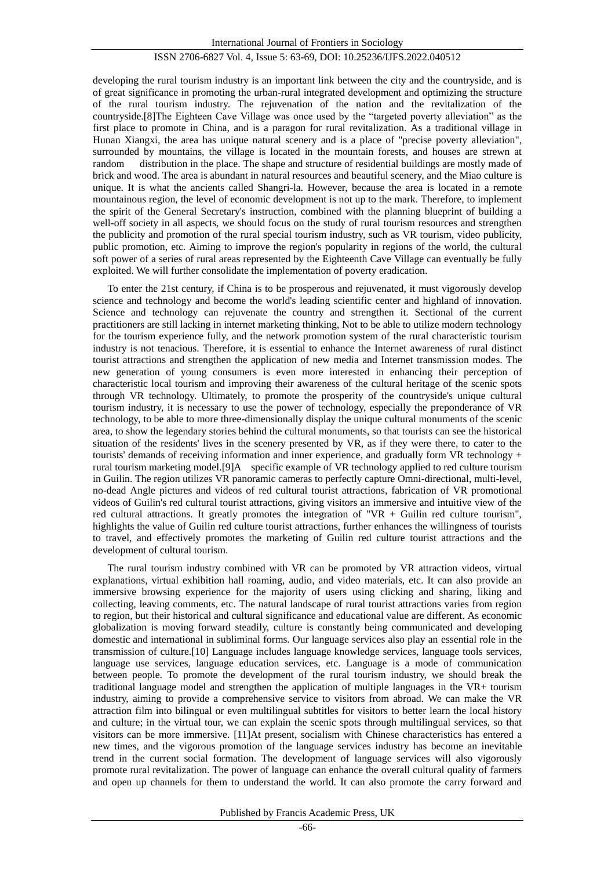developing the rural tourism industry is an important link between the city and the countryside, and is of great significance in promoting the urban-rural integrated development and optimizing the structure of the rural tourism industry. The rejuvenation of the nation and the revitalization of the countryside.[8]The Eighteen Cave Village was once used by the "targeted poverty alleviation" as the first place to promote in China, and is a paragon for rural revitalization. As a traditional village in Hunan Xiangxi, the area has unique natural scenery and is a place of "precise poverty alleviation", surrounded by mountains, the village is located in the mountain forests, and houses are strewn at random distribution in the place. The shape and structure of residential buildings are mostly made of brick and wood. The area is abundant in natural resources and beautiful scenery, and the Miao culture is unique. It is what the ancients called Shangri-la. However, because the area is located in a remote mountainous region, the level of economic development is not up to the mark. Therefore, to implement the spirit of the General Secretary's instruction, combined with the planning blueprint of building a well-off society in all aspects, we should focus on the study of rural tourism resources and strengthen the publicity and promotion of the rural special tourism industry, such as VR tourism, video publicity, public promotion, etc. Aiming to improve the region's popularity in regions of the world, the cultural soft power of a series of rural areas represented by the Eighteenth Cave Village can eventually be fully exploited. We will further consolidate the implementation of poverty eradication.

To enter the 21st century, if China is to be prosperous and rejuvenated, it must vigorously develop science and technology and become the world's leading scientific center and highland of innovation. Science and technology can rejuvenate the country and strengthen it. Sectional of the current practitioners are still lacking in internet marketing thinking, Not to be able to utilize modern technology for the tourism experience fully, and the network promotion system of the rural characteristic tourism industry is not tenacious. Therefore, it is essential to enhance the Internet awareness of rural distinct tourist attractions and strengthen the application of new media and Internet transmission modes. The new generation of young consumers is even more interested in enhancing their perception of characteristic local tourism and improving their awareness of the cultural heritage of the scenic spots through VR technology. Ultimately, to promote the prosperity of the countryside's unique cultural tourism industry, it is necessary to use the power of technology, especially the preponderance of VR technology, to be able to more three-dimensionally display the unique cultural monuments of the scenic area, to show the legendary stories behind the cultural monuments, so that tourists can see the historical situation of the residents' lives in the scenery presented by VR, as if they were there, to cater to the tourists' demands of receiving information and inner experience, and gradually form VR technology + rural tourism marketing model.[9]A specific example of VR technology applied to red culture tourism in Guilin. The region utilizes VR panoramic cameras to perfectly capture Omni-directional, multi-level, no-dead Angle pictures and videos of red cultural tourist attractions, fabrication of VR promotional videos of Guilin's red cultural tourist attractions, giving visitors an immersive and intuitive view of the red cultural attractions. It greatly promotes the integration of "VR + Guilin red culture tourism", highlights the value of Guilin red culture tourist attractions, further enhances the willingness of tourists to travel, and effectively promotes the marketing of Guilin red culture tourist attractions and the development of cultural tourism.

The rural tourism industry combined with VR can be promoted by VR attraction videos, virtual explanations, virtual exhibition hall roaming, audio, and video materials, etc. It can also provide an immersive browsing experience for the majority of users using clicking and sharing, liking and collecting, leaving comments, etc. The natural landscape of rural tourist attractions varies from region to region, but their historical and cultural significance and educational value are different. As economic globalization is moving forward steadily, culture is constantly being communicated and developing domestic and international in subliminal forms. Our language services also play an essential role in the transmission of culture.[10] Language includes language knowledge services, language tools services, language use services, language education services, etc. Language is a mode of communication between people. To promote the development of the rural tourism industry, we should break the traditional language model and strengthen the application of multiple languages in the VR+ tourism industry, aiming to provide a comprehensive service to visitors from abroad. We can make the VR attraction film into bilingual or even multilingual subtitles for visitors to better learn the local history and culture; in the virtual tour, we can explain the scenic spots through multilingual services, so that visitors can be more immersive. [11]At present, socialism with Chinese characteristics has entered a new times, and the vigorous promotion of the language services industry has become an inevitable trend in the current social formation. The development of language services will also vigorously promote rural revitalization. The power of language can enhance the overall cultural quality of farmers and open up channels for them to understand the world. It can also promote the carry forward and

Published by Francis Academic Press, UK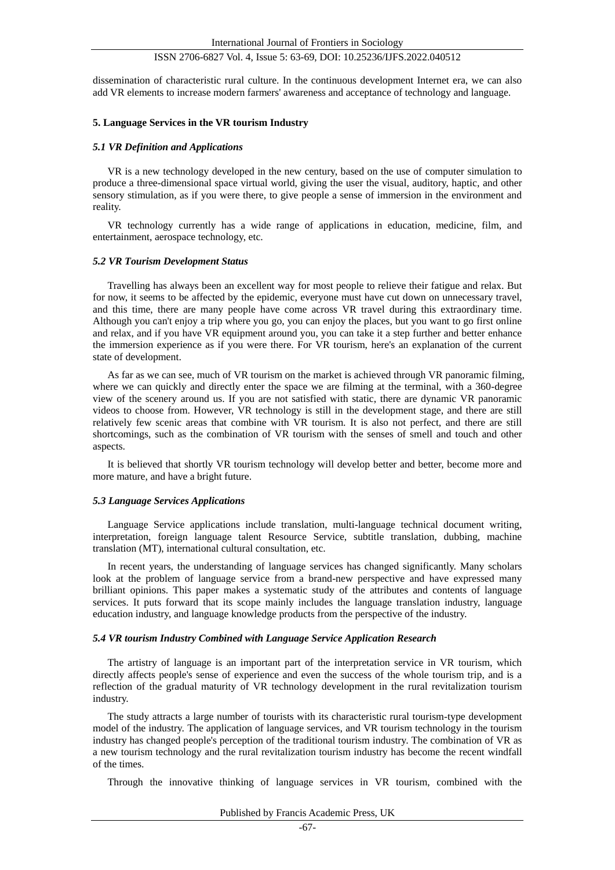dissemination of characteristic rural culture. In the continuous development Internet era, we can also add VR elements to increase modern farmers' awareness and acceptance of technology and language.

#### **5. Language Services in the VR tourism Industry**

#### *5.1 VR Definition and Applications*

VR is a new technology developed in the new century, based on the use of computer simulation to produce a three-dimensional space virtual world, giving the user the visual, auditory, haptic, and other sensory stimulation, as if you were there, to give people a sense of immersion in the environment and reality.

VR technology currently has a wide range of applications in education, medicine, film, and entertainment, aerospace technology, etc.

#### *5.2 VR Tourism Development Status*

Travelling has always been an excellent way for most people to relieve their fatigue and relax. But for now, it seems to be affected by the epidemic, everyone must have cut down on unnecessary travel, and this time, there are many people have come across VR travel during this extraordinary time. Although you can't enjoy a trip where you go, you can enjoy the places, but you want to go first online and relax, and if you have VR equipment around you, you can take it a step further and better enhance the immersion experience as if you were there. For VR tourism, here's an explanation of the current state of development.

As far as we can see, much of VR tourism on the market is achieved through VR panoramic filming, where we can quickly and directly enter the space we are filming at the terminal, with a 360-degree view of the scenery around us. If you are not satisfied with static, there are dynamic VR panoramic videos to choose from. However, VR technology is still in the development stage, and there are still relatively few scenic areas that combine with VR tourism. It is also not perfect, and there are still shortcomings, such as the combination of VR tourism with the senses of smell and touch and other aspects.

It is believed that shortly VR tourism technology will develop better and better, become more and more mature, and have a bright future.

#### *5.3 Language Services Applications*

Language Service applications include translation, multi-language technical document writing, interpretation, foreign language talent Resource Service, subtitle translation, dubbing, machine translation (MT), international cultural consultation, etc.

In recent years, the understanding of language services has changed significantly. Many scholars look at the problem of language service from a brand-new perspective and have expressed many brilliant opinions. This paper makes a systematic study of the attributes and contents of language services. It puts forward that its scope mainly includes the language translation industry, language education industry, and language knowledge products from the perspective of the industry.

#### *5.4 VR tourism Industry Combined with Language Service Application Research*

The artistry of language is an important part of the interpretation service in VR tourism, which directly affects people's sense of experience and even the success of the whole tourism trip, and is a reflection of the gradual maturity of VR technology development in the rural revitalization tourism industry.

The study attracts a large number of tourists with its characteristic rural tourism-type development model of the industry. The application of language services, and VR tourism technology in the tourism industry has changed people's perception of the traditional tourism industry. The combination of VR as a new tourism technology and the rural revitalization tourism industry has become the recent windfall of the times.

Through the innovative thinking of language services in VR tourism, combined with the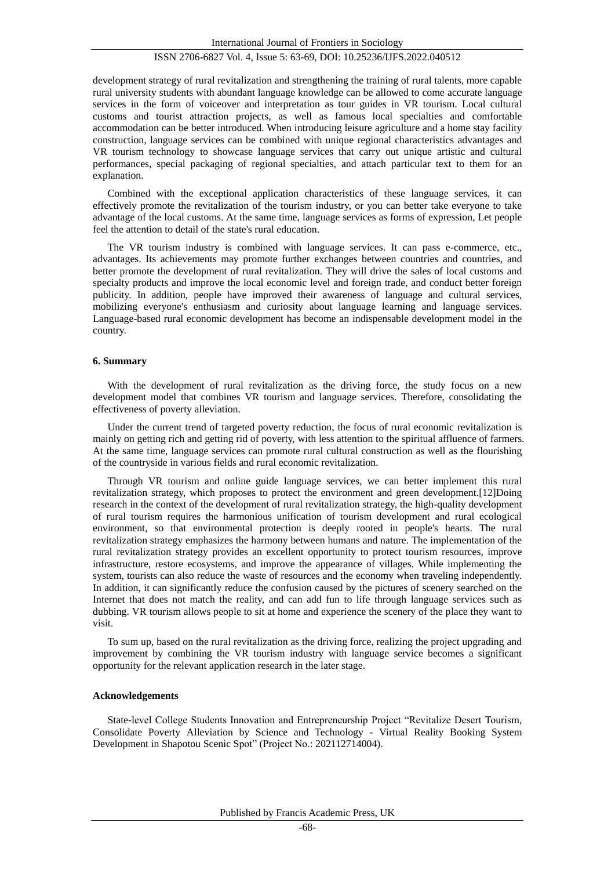development strategy of rural revitalization and strengthening the training of rural talents, more capable rural university students with abundant language knowledge can be allowed to come accurate language services in the form of voiceover and interpretation as tour guides in VR tourism. Local cultural customs and tourist attraction projects, as well as famous local specialties and comfortable accommodation can be better introduced. When introducing leisure agriculture and a home stay facility construction, language services can be combined with unique regional characteristics advantages and VR tourism technology to showcase language services that carry out unique artistic and cultural performances, special packaging of regional specialties, and attach particular text to them for an explanation.

Combined with the exceptional application characteristics of these language services, it can effectively promote the revitalization of the tourism industry, or you can better take everyone to take advantage of the local customs. At the same time, language services as forms of expression, Let people feel the attention to detail of the state's rural education.

The VR tourism industry is combined with language services. It can pass e-commerce, etc., advantages. Its achievements may promote further exchanges between countries and countries, and better promote the development of rural revitalization. They will drive the sales of local customs and specialty products and improve the local economic level and foreign trade, and conduct better foreign publicity. In addition, people have improved their awareness of language and cultural services, mobilizing everyone's enthusiasm and curiosity about language learning and language services. Language-based rural economic development has become an indispensable development model in the country.

#### **6. Summary**

With the development of rural revitalization as the driving force, the study focus on a new development model that combines VR tourism and language services. Therefore, consolidating the effectiveness of poverty alleviation.

Under the current trend of targeted poverty reduction, the focus of rural economic revitalization is mainly on getting rich and getting rid of poverty, with less attention to the spiritual affluence of farmers. At the same time, language services can promote rural cultural construction as well as the flourishing of the countryside in various fields and rural economic revitalization.

Through VR tourism and online guide language services, we can better implement this rural revitalization strategy, which proposes to protect the environment and green development.[12]Doing research in the context of the development of rural revitalization strategy, the high-quality development of rural tourism requires the harmonious unification of tourism development and rural ecological environment, so that environmental protection is deeply rooted in people's hearts. The rural revitalization strategy emphasizes the harmony between humans and nature. The implementation of the rural revitalization strategy provides an excellent opportunity to protect tourism resources, improve infrastructure, restore ecosystems, and improve the appearance of villages. While implementing the system, tourists can also reduce the waste of resources and the economy when traveling independently. In addition, it can significantly reduce the confusion caused by the pictures of scenery searched on the Internet that does not match the reality, and can add fun to life through language services such as dubbing. VR tourism allows people to sit at home and experience the scenery of the place they want to visit.

To sum up, based on the rural revitalization as the driving force, realizing the project upgrading and improvement by combining the VR tourism industry with language service becomes a significant opportunity for the relevant application research in the later stage.

#### **Acknowledgements**

State-level College Students Innovation and Entrepreneurship Project "Revitalize Desert Tourism, Consolidate Poverty Alleviation by Science and Technology - Virtual Reality Booking System Development in Shapotou Scenic Spot" (Project No.: 202112714004).